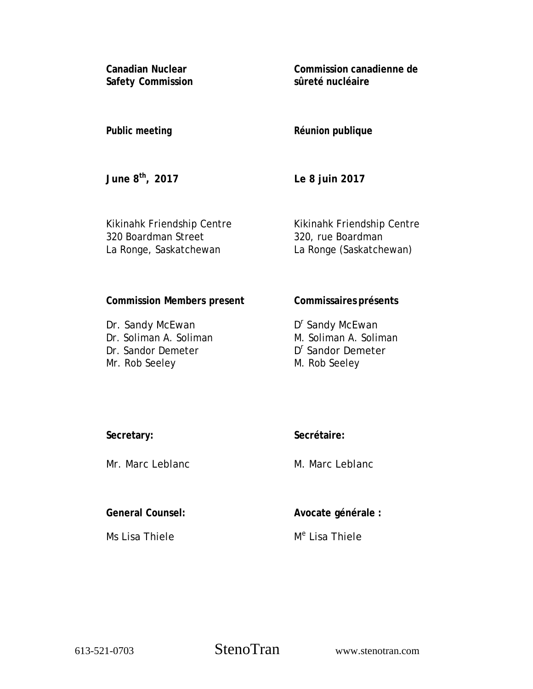**Canadian Nuclear Safety Commission**  **Commission canadienne de sûreté nucléaire** 

# **Public meeting**

**Réunion publique** 

**June 8th, 2017** 

**Le 8 juin 2017** 

Kikinahk Friendship Centre 320 Boardman Street La Ronge, Saskatchewan

Kikinahk Friendship Centre 320, rue Boardman La Ronge (Saskatchewan)

# **Commission Members present**

Dr. Sandy McEwan Dr. Soliman A. Soliman Dr. Sandor Demeter Mr. Rob Seeley

# **Commissaires présents**

D<sup>r</sup> Sandy McEwan M. Soliman A. Soliman D<sup>r</sup> Sandor Demeter M. Rob Seeley

**Secretary:**

Mr. Marc Leblanc

**General Counsel:** 

Ms Lisa Thiele

**Secrétaire:** 

**Avocate générale :** 

M. Marc Leblanc

M<sup>e</sup> Lisa Thiele

613-521-0703 StenoTran www.stenotran.com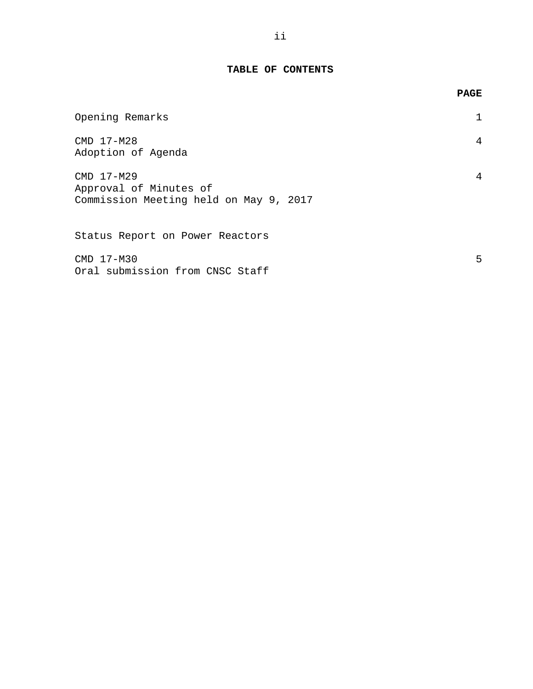### **TABLE OF CONTENTS**

|                                                                                | <b>PAGE</b> |
|--------------------------------------------------------------------------------|-------------|
| Opening Remarks                                                                |             |
| CMD 17-M28<br>Adoption of Agenda                                               | 4           |
| CMD 17-M29<br>Approval of Minutes of<br>Commission Meeting held on May 9, 2017 | 4           |
| Status Report on Power Reactors                                                |             |
| CMD 17-M30<br>Oral submission from CNSC Staff                                  | 5           |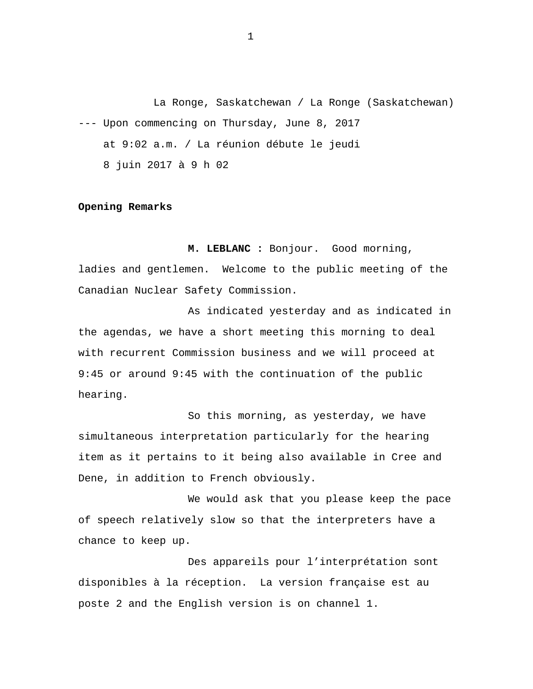<span id="page-2-0"></span>La Ronge, Saskatchewan / La Ronge (Saskatchewan) --- Upon commencing on Thursday, June 8, 2017 at 9:02 a.m. / La réunion débute le jeudi 8 juin 2017 à 9 h 02

#### **Opening Remarks**

**M. LEBLANC :** Bonjour. Good morning, ladies and gentlemen. Welcome to the public meeting of the Canadian Nuclear Safety Commission.

As indicated yesterday and as indicated in the agendas, we have a short meeting this morning to deal with recurrent Commission business and we will proceed at 9:45 or around 9:45 with the continuation of the public hearing.

So this morning, as yesterday, we have simultaneous interpretation particularly for the hearing item as it pertains to it being also available in Cree and Dene, in addition to French obviously.

We would ask that you please keep the pace of speech relatively slow so that the interpreters have a chance to keep up.

Des appareils pour l'interprétation sont disponibles à la réception. La version française est au poste 2 and the English version is on channel 1.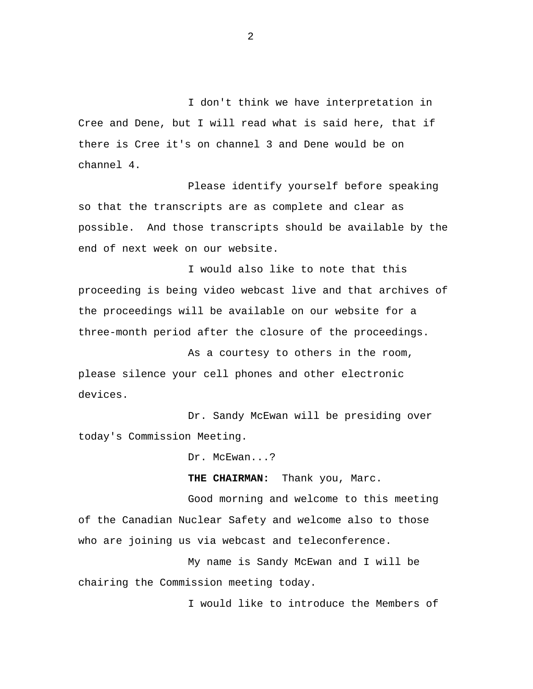I don't think we have interpretation in Cree and Dene, but I will read what is said here, that if there is Cree it's on channel 3 and Dene would be on channel 4.

Please identify yourself before speaking so that the transcripts are as complete and clear as possible. And those transcripts should be available by the end of next week on our website.

I would also like to note that this proceeding is being video webcast live and that archives of the proceedings will be available on our website for a three-month period after the closure of the proceedings.

As a courtesy to others in the room, please silence your cell phones and other electronic devices.

Dr. Sandy McEwan will be presiding over today's Commission Meeting.

Dr. McEwan...?

**THE CHAIRMAN:** Thank you, Marc.

Good morning and welcome to this meeting of the Canadian Nuclear Safety and welcome also to those who are joining us via webcast and teleconference.

My name is Sandy McEwan and I will be chairing the Commission meeting today.

I would like to introduce the Members of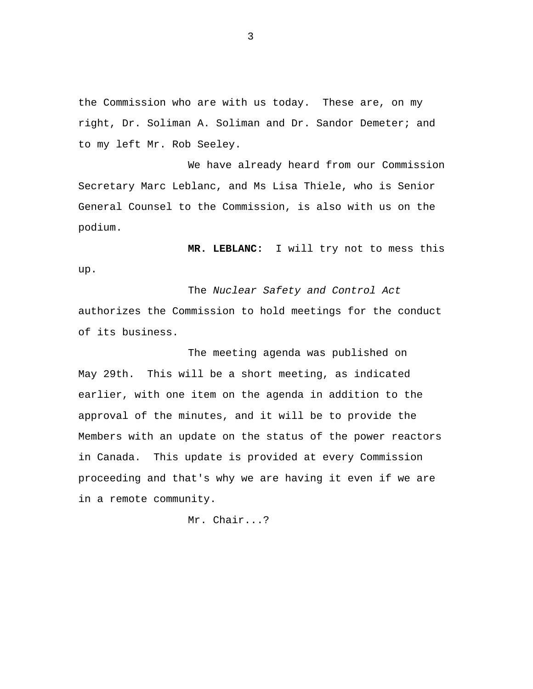the Commission who are with us today. These are, on my right, Dr. Soliman A. Soliman and Dr. Sandor Demeter; and to my left Mr. Rob Seeley.

We have already heard from our Commission Secretary Marc Leblanc, and Ms Lisa Thiele, who is Senior General Counsel to the Commission, is also with us on the podium.

**MR. LEBLANC:** I will try not to mess this

The *Nuclear Safety and Control Act*  authorizes the Commission to hold meetings for the conduct of its business.

up.

The meeting agenda was published on May 29th. This will be a short meeting, as indicated earlier, with one item on the agenda in addition to the approval of the minutes, and it will be to provide the Members with an update on the status of the power reactors in Canada. This update is provided at every Commission proceeding and that's why we are having it even if we are in a remote community.

Mr. Chair...?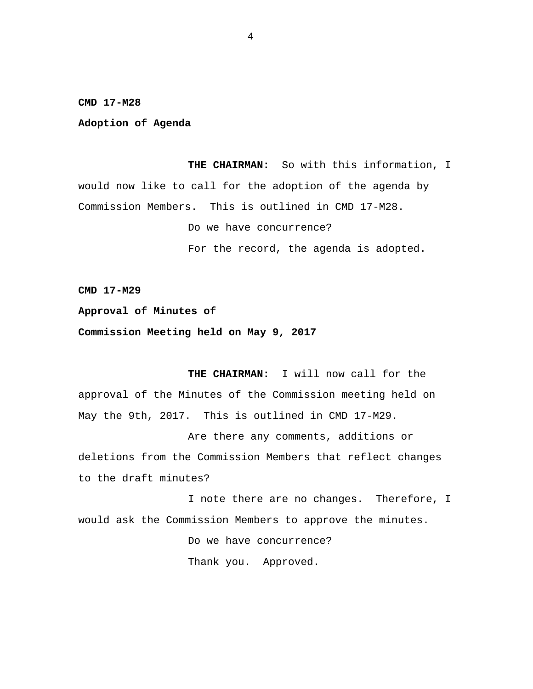<span id="page-5-0"></span>**CMD 17-M28** 

**Adoption of Agenda** 

**THE CHAIRMAN:** So with this information, I would now like to call for the adoption of the agenda by Commission Members. This is outlined in CMD 17-M28.

Do we have concurrence?

For the record, the agenda is adopted.

**CMD 17-M29** 

**Approval of Minutes of** 

**Commission Meeting held on May 9, 2017** 

**THE CHAIRMAN:** I will now call for the approval of the Minutes of the Commission meeting held on May the 9th, 2017. This is outlined in CMD 17-M29.

Are there any comments, additions or deletions from the Commission Members that reflect changes to the draft minutes?

I note there are no changes. Therefore, I would ask the Commission Members to approve the minutes.

Do we have concurrence?

Thank you. Approved.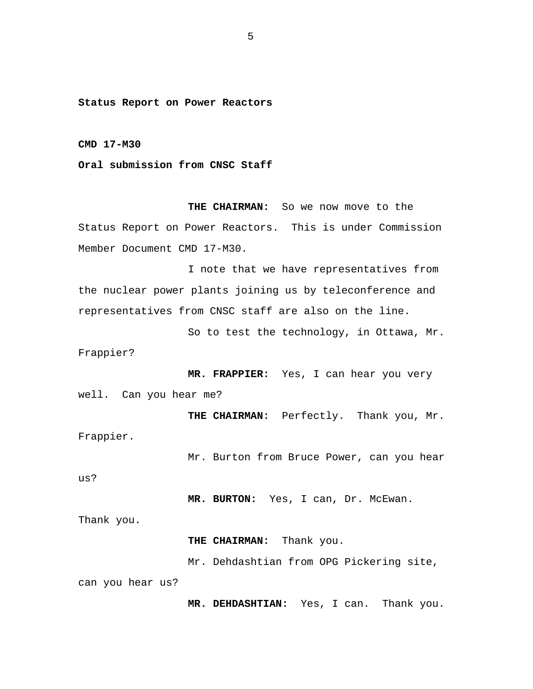<span id="page-6-0"></span>**Status Report on Power Reactors** 

**CMD 17-M30** 

**Oral submission from CNSC Staff** 

**THE CHAIRMAN:** So we now move to the Status Report on Power Reactors. This is under Commission Member Document CMD 17-M30.

I note that we have representatives from the nuclear power plants joining us by teleconference and representatives from CNSC staff are also on the line.

So to test the technology, in Ottawa, Mr. Frappier?

**MR. FRAPPIER:** Yes, I can hear you very well. Can you hear me?

**THE CHAIRMAN:** Perfectly. Thank you, Mr. Frappier.

Mr. Burton from Bruce Power, can you hear

us?

**MR. BURTON:** Yes, I can, Dr. McEwan.

Thank you.

**THE CHAIRMAN:** Thank you.

Mr. Dehdashtian from OPG Pickering site,

can you hear us?

**MR. DEHDASHTIAN:** Yes, I can. Thank you.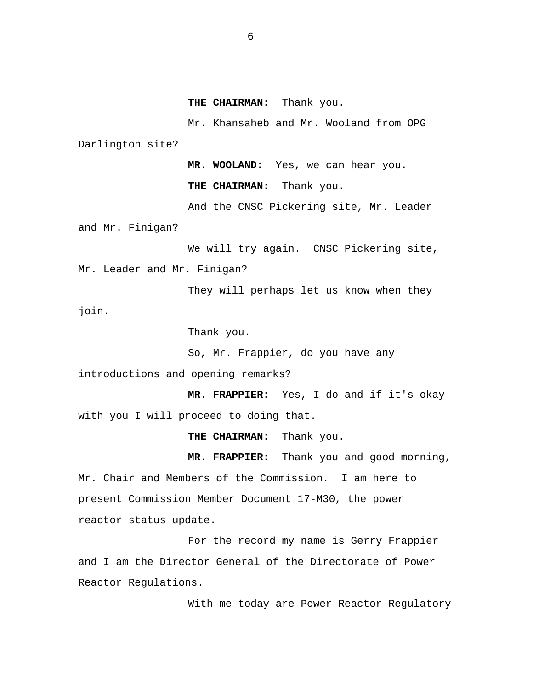**THE CHAIRMAN:** Thank you.

Mr. Khansaheb and Mr. Wooland from OPG Darlington site?

**MR. WOOLAND:** Yes, we can hear you.

**THE CHAIRMAN:** Thank you.

And the CNSC Pickering site, Mr. Leader

and Mr. Finigan?

We will try again. CNSC Pickering site, Mr. Leader and Mr. Finigan?

They will perhaps let us know when they join.

Thank you.

So, Mr. Frappier, do you have any

introductions and opening remarks?

**MR. FRAPPIER:** Yes, I do and if it's okay with you I will proceed to doing that.

**THE CHAIRMAN:** Thank you.

**MR. FRAPPIER:** Thank you and good morning, Mr. Chair and Members of the Commission. I am here to present Commission Member Document 17-M30, the power reactor status update.

For the record my name is Gerry Frappier and I am the Director General of the Directorate of Power Reactor Regulations.

With me today are Power Reactor Regulatory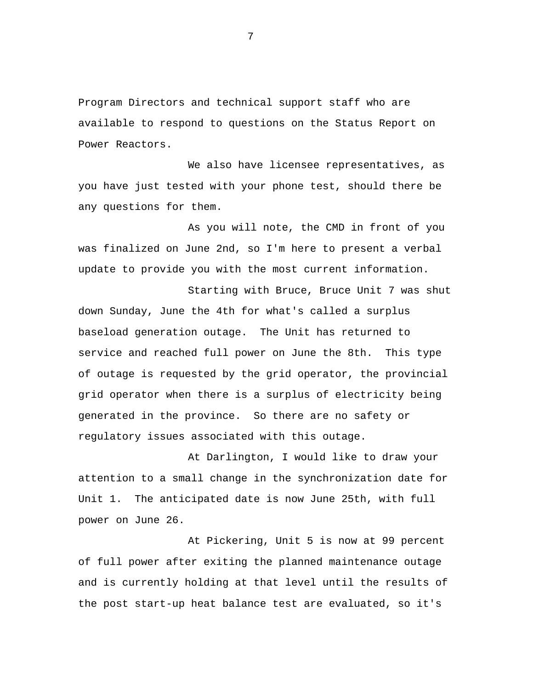Program Directors and technical support staff who are available to respond to questions on the Status Report on Power Reactors.

We also have licensee representatives, as you have just tested with your phone test, should there be any questions for them.

As you will note, the CMD in front of you was finalized on June 2nd, so I'm here to present a verbal update to provide you with the most current information.

Starting with Bruce, Bruce Unit 7 was shut down Sunday, June the 4th for what's called a surplus baseload generation outage. The Unit has returned to service and reached full power on June the 8th. This type of outage is requested by the grid operator, the provincial grid operator when there is a surplus of electricity being generated in the province. So there are no safety or regulatory issues associated with this outage.

At Darlington, I would like to draw your attention to a small change in the synchronization date for Unit 1. The anticipated date is now June 25th, with full power on June 26.

At Pickering, Unit 5 is now at 99 percent of full power after exiting the planned maintenance outage and is currently holding at that level until the results of the post start-up heat balance test are evaluated, so it's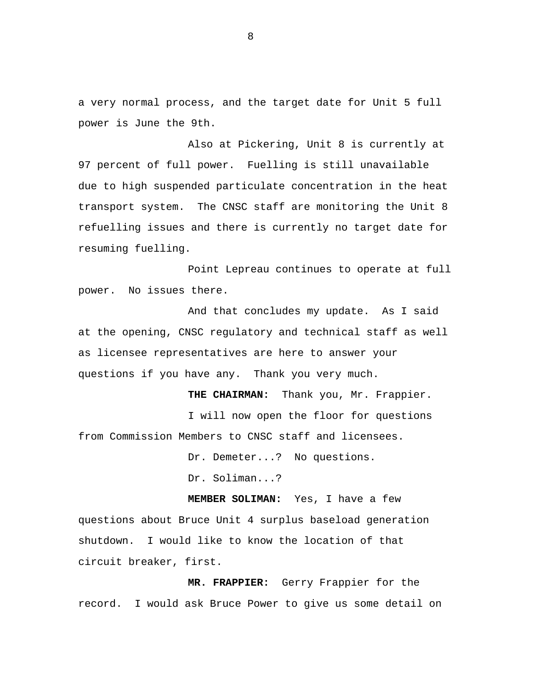a very normal process, and the target date for Unit 5 full power is June the 9th.

Also at Pickering, Unit 8 is currently at 97 percent of full power. Fuelling is still unavailable due to high suspended particulate concentration in the heat transport system. The CNSC staff are monitoring the Unit 8 refuelling issues and there is currently no target date for resuming fuelling.

Point Lepreau continues to operate at full power. No issues there.

And that concludes my update. As I said at the opening, CNSC regulatory and technical staff as well as licensee representatives are here to answer your questions if you have any. Thank you very much.

**THE CHAIRMAN:** Thank you, Mr. Frappier. I will now open the floor for questions from Commission Members to CNSC staff and licensees.

> Dr. Demeter...? No questions. Dr. Soliman...?

**MEMBER SOLIMAN:** Yes, I have a few questions about Bruce Unit 4 surplus baseload generation shutdown. I would like to know the location of that circuit breaker, first.

**MR. FRAPPIER:** Gerry Frappier for the record. I would ask Bruce Power to give us some detail on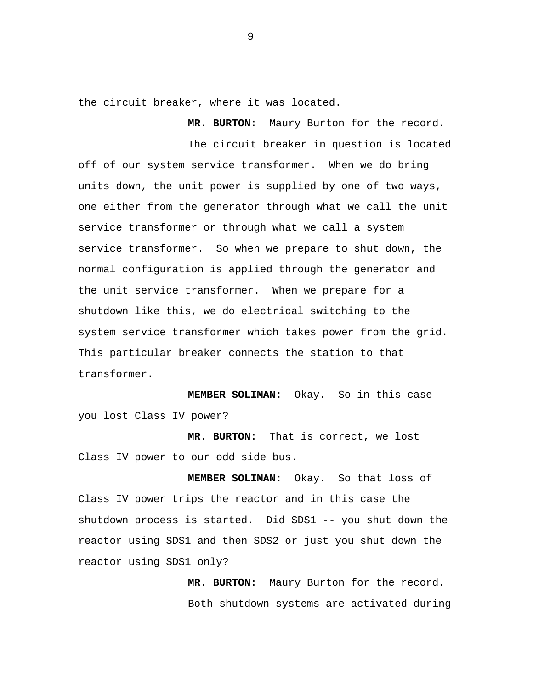the circuit breaker, where it was located.

**MR. BURTON:** Maury Burton for the record.

The circuit breaker in question is located off of our system service transformer. When we do bring units down, the unit power is supplied by one of two ways, one either from the generator through what we call the unit service transformer or through what we call a system service transformer. So when we prepare to shut down, the normal configuration is applied through the generator and the unit service transformer. When we prepare for a shutdown like this, we do electrical switching to the system service transformer which takes power from the grid. This particular breaker connects the station to that transformer.

**MEMBER SOLIMAN:** Okay. So in this case you lost Class IV power?

**MR. BURTON:** That is correct, we lost Class IV power to our odd side bus.

**MEMBER SOLIMAN:** Okay. So that loss of Class IV power trips the reactor and in this case the shutdown process is started. Did SDS1 -- you shut down the reactor using SDS1 and then SDS2 or just you shut down the reactor using SDS1 only?

> **MR. BURTON:** Maury Burton for the record. Both shutdown systems are activated during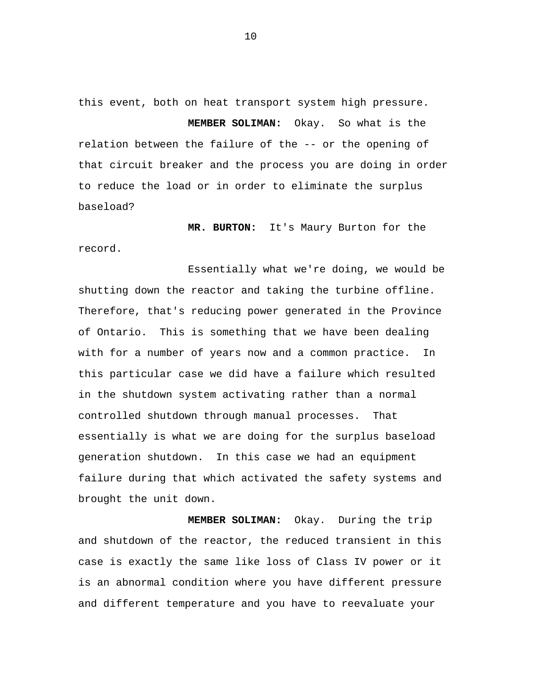this event, both on heat transport system high pressure.

**MEMBER SOLIMAN:** Okay. So what is the relation between the failure of the -- or the opening of that circuit breaker and the process you are doing in order to reduce the load or in order to eliminate the surplus baseload?

**MR. BURTON:** It's Maury Burton for the record.

Essentially what we're doing, we would be shutting down the reactor and taking the turbine offline. Therefore, that's reducing power generated in the Province of Ontario. This is something that we have been dealing with for a number of years now and a common practice. In this particular case we did have a failure which resulted in the shutdown system activating rather than a normal controlled shutdown through manual processes. That essentially is what we are doing for the surplus baseload generation shutdown. In this case we had an equipment failure during that which activated the safety systems and brought the unit down.

**MEMBER SOLIMAN:** Okay. During the trip and shutdown of the reactor, the reduced transient in this case is exactly the same like loss of Class IV power or it is an abnormal condition where you have different pressure and different temperature and you have to reevaluate your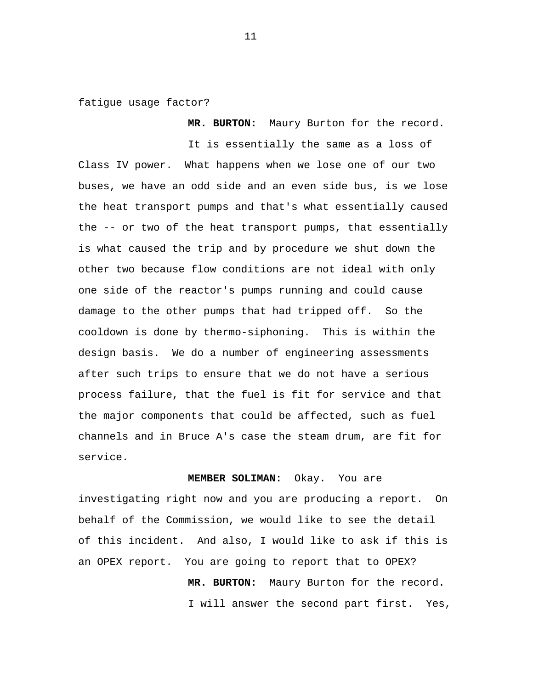fatigue usage factor?

**MR. BURTON:** Maury Burton for the record.

It is essentially the same as a loss of Class IV power. What happens when we lose one of our two buses, we have an odd side and an even side bus, is we lose the heat transport pumps and that's what essentially caused the -- or two of the heat transport pumps, that essentially is what caused the trip and by procedure we shut down the other two because flow conditions are not ideal with only one side of the reactor's pumps running and could cause damage to the other pumps that had tripped off. So the cooldown is done by thermo-siphoning. This is within the design basis. We do a number of engineering assessments after such trips to ensure that we do not have a serious process failure, that the fuel is fit for service and that the major components that could be affected, such as fuel channels and in Bruce A's case the steam drum, are fit for service.

**MEMBER SOLIMAN:** Okay. You are

investigating right now and you are producing a report. On behalf of the Commission, we would like to see the detail of this incident. And also, I would like to ask if this is an OPEX report. You are going to report that to OPEX?

> **MR. BURTON:** Maury Burton for the record. I will answer the second part first. Yes,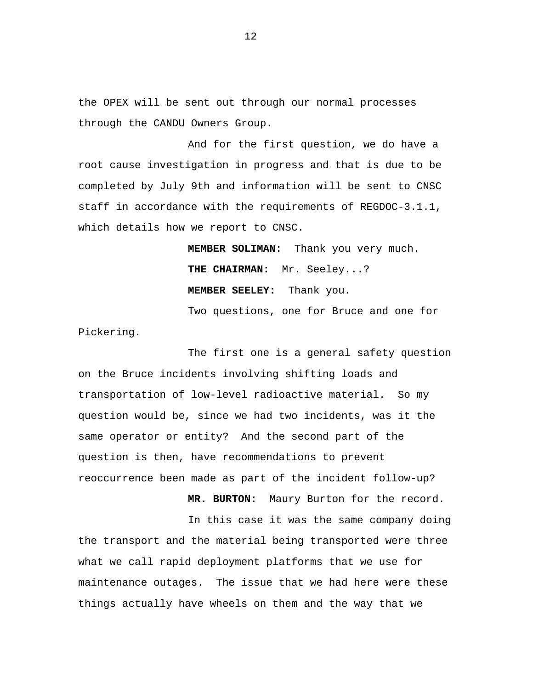the OPEX will be sent out through our normal processes through the CANDU Owners Group.

And for the first question, we do have a root cause investigation in progress and that is due to be completed by July 9th and information will be sent to CNSC staff in accordance with the requirements of REGDOC-3.1.1, which details how we report to CNSC.

> **MEMBER SOLIMAN:** Thank you very much. **THE CHAIRMAN:** Mr. Seeley...? **MEMBER SEELEY:** Thank you.

Two questions, one for Bruce and one for Pickering.

The first one is a general safety question on the Bruce incidents involving shifting loads and transportation of low-level radioactive material. So my question would be, since we had two incidents, was it the same operator or entity? And the second part of the question is then, have recommendations to prevent reoccurrence been made as part of the incident follow-up?

**MR. BURTON:** Maury Burton for the record.

In this case it was the same company doing the transport and the material being transported were three what we call rapid deployment platforms that we use for maintenance outages. The issue that we had here were these things actually have wheels on them and the way that we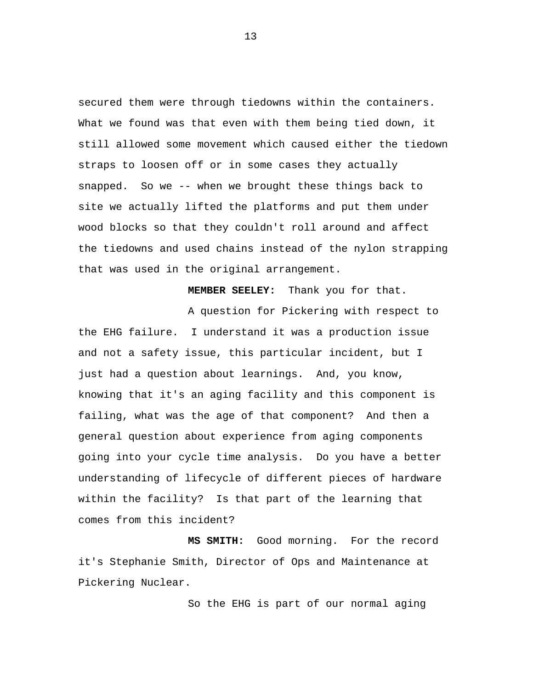secured them were through tiedowns within the containers. What we found was that even with them being tied down, it still allowed some movement which caused either the tiedown straps to loosen off or in some cases they actually snapped. So we -- when we brought these things back to site we actually lifted the platforms and put them under wood blocks so that they couldn't roll around and affect the tiedowns and used chains instead of the nylon strapping that was used in the original arrangement.

**MEMBER SEELEY:** Thank you for that.

A question for Pickering with respect to the EHG failure. I understand it was a production issue and not a safety issue, this particular incident, but I just had a question about learnings. And, you know, knowing that it's an aging facility and this component is failing, what was the age of that component? And then a general question about experience from aging components going into your cycle time analysis. Do you have a better understanding of lifecycle of different pieces of hardware within the facility? Is that part of the learning that comes from this incident?

**MS SMITH:** Good morning. For the record it's Stephanie Smith, Director of Ops and Maintenance at Pickering Nuclear.

So the EHG is part of our normal aging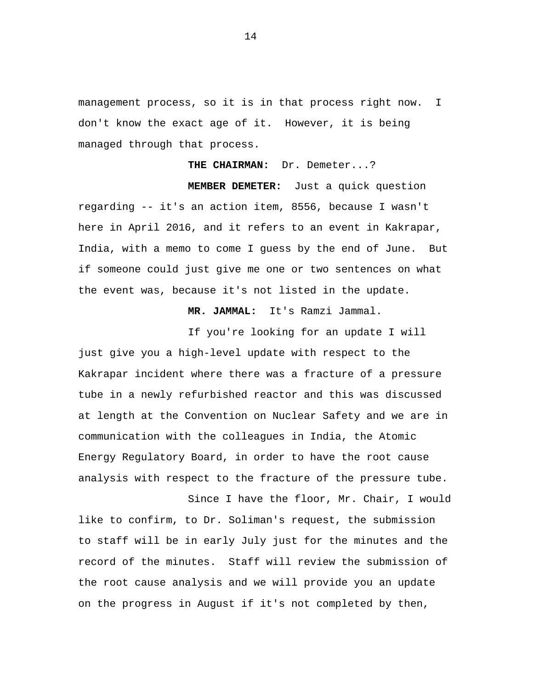management process, so it is in that process right now. I don't know the exact age of it. However, it is being managed through that process.

**THE CHAIRMAN:** Dr. Demeter...?

**MEMBER DEMETER:** Just a quick question regarding -- it's an action item, 8556, because I wasn't here in April 2016, and it refers to an event in Kakrapar, India, with a memo to come I guess by the end of June. But if someone could just give me one or two sentences on what the event was, because it's not listed in the update.

**MR. JAMMAL:** It's Ramzi Jammal.

If you're looking for an update I will just give you a high-level update with respect to the Kakrapar incident where there was a fracture of a pressure tube in a newly refurbished reactor and this was discussed at length at the Convention on Nuclear Safety and we are in communication with the colleagues in India, the Atomic Energy Regulatory Board, in order to have the root cause analysis with respect to the fracture of the pressure tube.

Since I have the floor, Mr. Chair, I would like to confirm, to Dr. Soliman's request, the submission to staff will be in early July just for the minutes and the record of the minutes. Staff will review the submission of the root cause analysis and we will provide you an update on the progress in August if it's not completed by then,